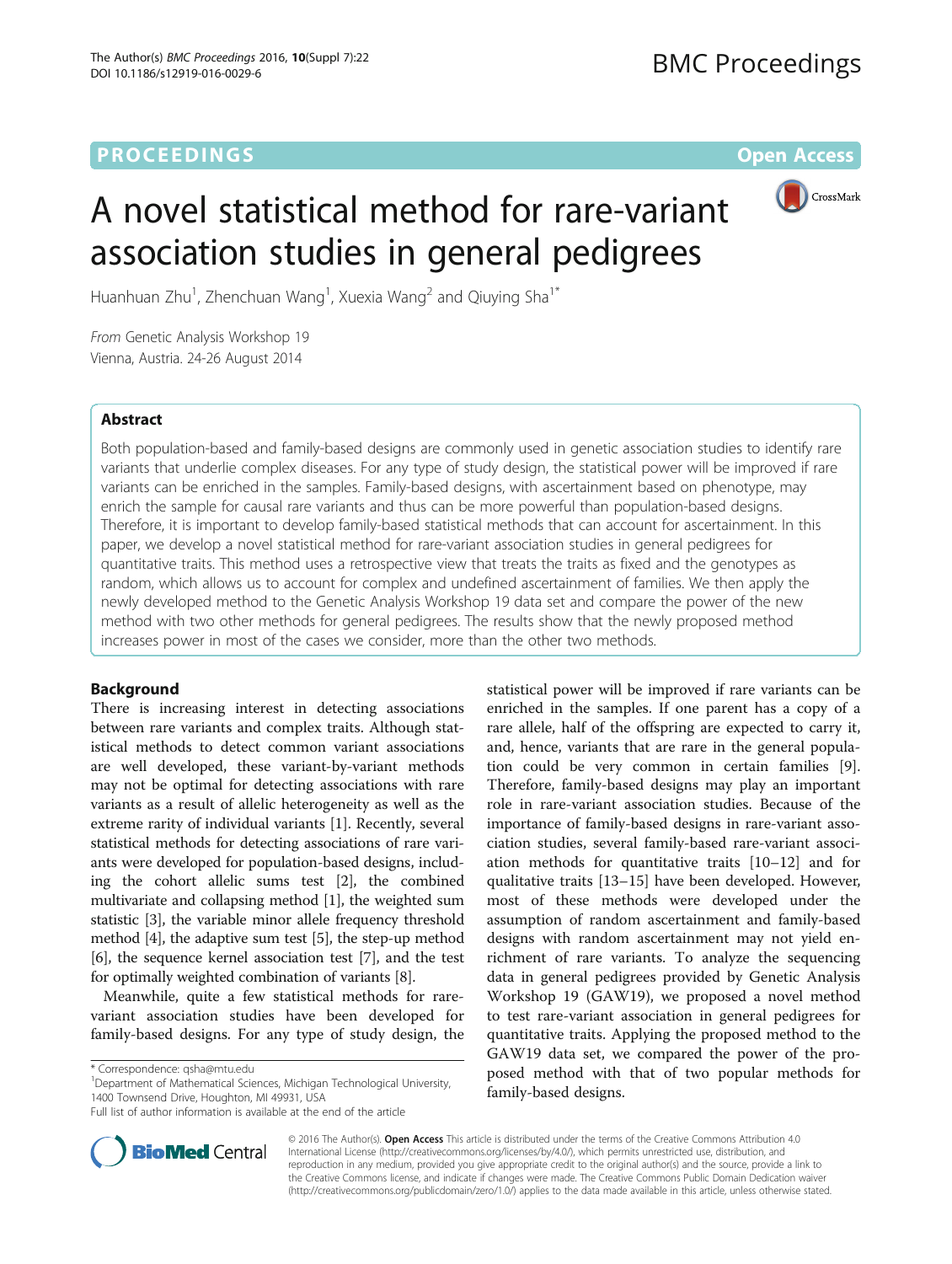# **PROCEEDINGS STATE ACCESS CONSUMING S** Open Access



# A novel statistical method for rare-variant association studies in general pedigrees

Huanhuan Zhu<sup>1</sup>, Zhenchuan Wang<sup>1</sup>, Xuexia Wang<sup>2</sup> and Qiuying Sha<sup>1\*</sup>

From Genetic Analysis Workshop 19 Vienna, Austria. 24-26 August 2014

## Abstract

Both population-based and family-based designs are commonly used in genetic association studies to identify rare variants that underlie complex diseases. For any type of study design, the statistical power will be improved if rare variants can be enriched in the samples. Family-based designs, with ascertainment based on phenotype, may enrich the sample for causal rare variants and thus can be more powerful than population-based designs. Therefore, it is important to develop family-based statistical methods that can account for ascertainment. In this paper, we develop a novel statistical method for rare-variant association studies in general pedigrees for quantitative traits. This method uses a retrospective view that treats the traits as fixed and the genotypes as random, which allows us to account for complex and undefined ascertainment of families. We then apply the newly developed method to the Genetic Analysis Workshop 19 data set and compare the power of the new method with two other methods for general pedigrees. The results show that the newly proposed method increases power in most of the cases we consider, more than the other two methods.

## Background

There is increasing interest in detecting associations between rare variants and complex traits. Although statistical methods to detect common variant associations are well developed, these variant-by-variant methods may not be optimal for detecting associations with rare variants as a result of allelic heterogeneity as well as the extreme rarity of individual variants [[1\]](#page-3-0). Recently, several statistical methods for detecting associations of rare variants were developed for population-based designs, including the cohort allelic sums test [\[2](#page-3-0)], the combined multivariate and collapsing method [[1](#page-3-0)], the weighted sum statistic [[3](#page-3-0)], the variable minor allele frequency threshold method [[4](#page-3-0)], the adaptive sum test [\[5](#page-3-0)], the step-up method [[6\]](#page-3-0), the sequence kernel association test [[7](#page-3-0)], and the test for optimally weighted combination of variants [\[8\]](#page-3-0).

Meanwhile, quite a few statistical methods for rarevariant association studies have been developed for family-based designs. For any type of study design, the

<sup>1</sup>Department of Mathematical Sciences, Michigan Technological University, 1400 Townsend Drive, Houghton, MI 49931, USA

Full list of author information is available at the end of the article





© 2016 The Author(s). Open Access This article is distributed under the terms of the Creative Commons Attribution 4.0 International License [\(http://creativecommons.org/licenses/by/4.0/](http://creativecommons.org/licenses/by/4.0/)), which permits unrestricted use, distribution, and reproduction in any medium, provided you give appropriate credit to the original author(s) and the source, provide a link to the Creative Commons license, and indicate if changes were made. The Creative Commons Public Domain Dedication waiver [\(http://creativecommons.org/publicdomain/zero/1.0/](http://creativecommons.org/publicdomain/zero/1.0/)) applies to the data made available in this article, unless otherwise stated.

<sup>\*</sup> Correspondence: [qsha@mtu.edu](mailto:qsha@mtu.edu) <sup>1</sup>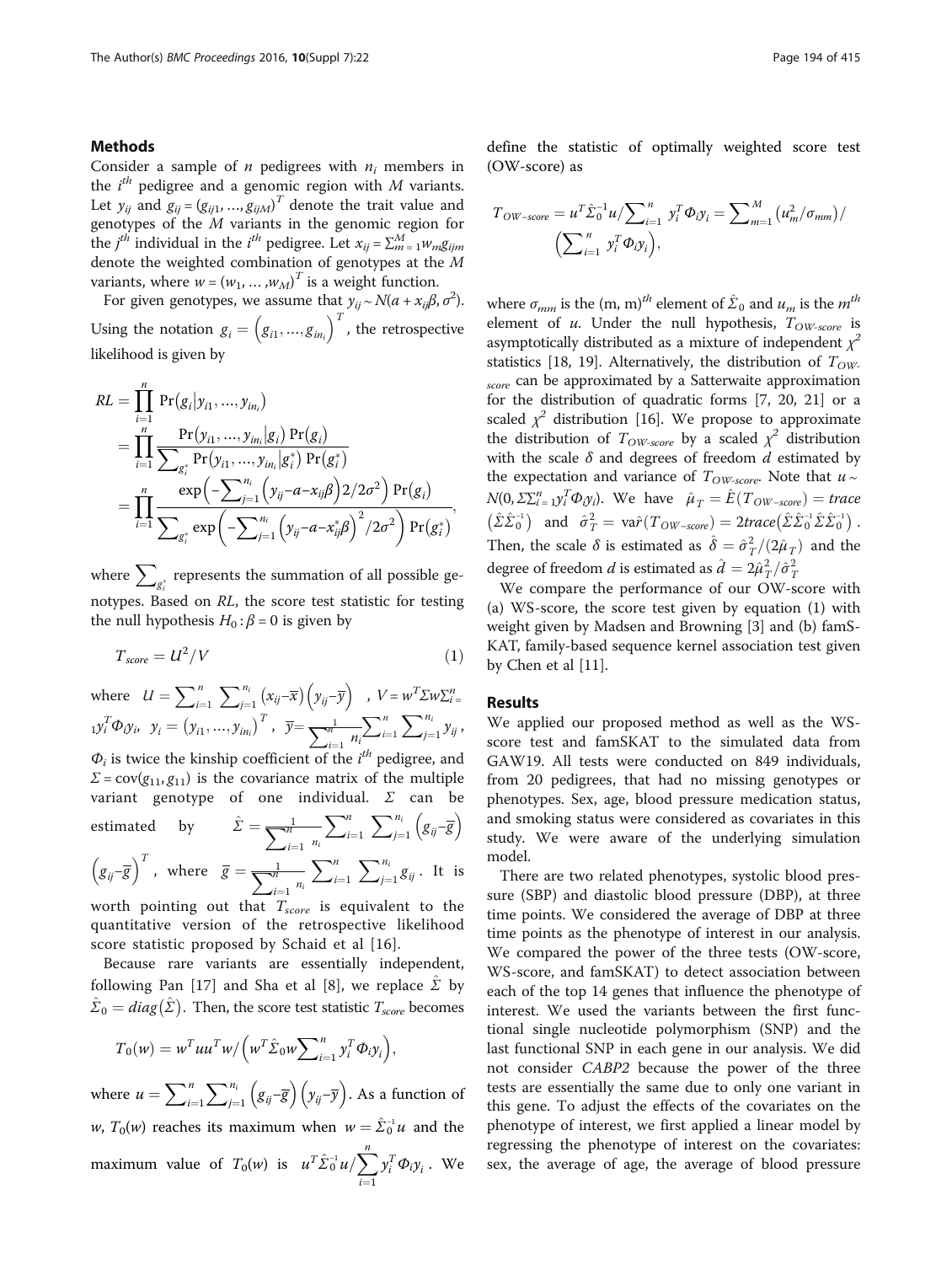## <span id="page-1-0"></span>Methods

Consider a sample of  $n$  pedigrees with  $n_i$  members in the  $i^{th}$  pedigree and a genomic region with  $M$  variants. Let  $y_{ij}$  and  $g_{ij} = (g_{ij1}, ..., g_{ijM})^T$  denote the trait value and genotypes of the  $M$  variants in the genomic region for the  $j^{th}$  individual in the  $i^{th}$  pedigree. Let  $x_{ij} = \sum_{m=1}^{M} w_{m}g_{ijm}$ denote the weighted combination of genotypes at the M variants, where  $w = (w_1, ..., w_M)^T$  is a weight function.

For given genotypes, we assume that  $y_{ij} \sim N(a + x_{ij}\beta, \sigma^2)$ . Using the notation  $g_i = \left(g_{i1}, ..., g_{in_i}\right)^T$ , the retrospective likelihood is given by

$$
RL = \prod_{i=1}^{n} \Pr(g_i|y_{i1},...,y_{in_i})
$$
  
= 
$$
\prod_{i=1}^{n} \frac{\Pr(y_{i1},...,y_{in_i}|g_i) \Pr(g_i)}{\sum_{g_i^*} \Pr(y_{i1},...,y_{in_i}|g_i^*) \Pr(g_i^*)}
$$
  
= 
$$
\prod_{i=1}^{n} \frac{\exp(-\sum_{j=1}^{n_i} (y_{ij} - a - x_{ij}\beta) 2/2\sigma^2) \Pr(g_i)}{\sum_{g_i^*} \exp(-\sum_{j=1}^{n_i} (y_{ij} - a - x_{ij}^*\beta)^2/2\sigma^2) \Pr(g_i^*)},
$$

where  $\sum_{g_i^*}$  represents the summation of all possible genotypes. Based on RL, the score test statistic for testing the null hypothesis  $H_0$ :  $\beta$  = 0 is given by

$$
T_{score} = U^2/V
$$
 (1)

where  $U = \sum_{i=1}^{n} \sum_{j=1}^{n_i}$  $\int_{i=1}^{n_i} (x_{ij} - \overline{x}) \left( y_{ij} - \overline{y} \right)$  ,  $V = w^T \Sigma w \Sigma_{i=1}^n$  $\mathbf{1}\mathbf{y}_i^T \mathbf{\Phi}_{{\bm{\mathcal{Y}}}^{i}, \quad \bm{\mathcal{Y}}^{i}} = \left(\mathbf{y}_{i1},...,\mathbf{y}_{in_i}\right)^T, \ \ \overline{\mathbf{y}}{=}\frac{1}{\sum_{i=1}^n \ n_i} {\sum_{i=1}^n \ \sum_{i=1}^n \ \sum_{i=1}^n \ n_i}$  $\varphi_i$  is twice the kinship coefficient of the  $i^{th}$  pedigree, and  $j=1$  $\sum_{i=1}^{n_i} y_{ij}$ ,  $\Sigma = \text{cov}(g_{11}, g_{11})$  is the covariance matrix of the multiple variant genotype of one individual.  $\Sigma$  can be estimated by  $\hat{\Sigma} = \frac{1}{\sum_{n=1}^{M}}$  $\dot{i}=1$ ni  $\sum$  $\frac{i=1}{1}$  $n \sum$  $j=1$  $\binom{n_i}{i=1}$   $\left(g_{ij} - \overline{g}\right)$  $(g_{ij}-\overline{g})^T$ , where  $\overline{g} = \frac{1}{\sum_{i=1}^{M}}$  $\frac{1}{n}$   $\sum_{i=1}^{n}$   $\sum$  $\frac{i-1}{1}$  $n \sum$  $j=1$  $\sum_{i=1}^{n_i} g_{ij}$ . It is worth pointing out that  $T_{score}$  is equivalent to the

quantitative version of the retrospective likelihood score statistic proposed by Schaid et al [[16](#page-3-0)].

Because rare variants are essentially independent, following Pan [[17](#page-3-0)] and Sha et al [\[8](#page-3-0)], we replace  $\Sigma$  by  $\hat{\Sigma}_0 = diag(\hat{\Sigma})$ . Then, the score test statistic  $T_{score}$  becomes

$$
T_0(w) = w^T u u^T w / \left(w^T \hat{\Sigma}_0 w \sum_{i=1}^n y_i^T \Phi_i y_i\right),
$$

where  $u = \sum_{i=1}^{n}$  $n \sum$  $j=1$  $\int_{i=1}^{n_i} \left( g_{i\bar{j}}-\overline{g} \right) \left( y_{i\bar{j}}-\overline{y} \right)$ . As a function of *w*,  $T_0(w)$  reaches its maximum when  $w = \hat{\Sigma}_0^{-1}u$  and the maximum value of  $T_0(w)$  is  $u^T \hat{\Sigma}_0^{-1} u / \sum_{i}^n y_i^T \Phi_i y_i$ . We  $\frac{i=1}{1}$ 

define the statistic of optimally weighted score test (OW-score) as

$$
T_{OW-score} = u^T \hat{\Sigma}_0^{-1} u / \sum_{i=1}^n y_i^T \Phi_i y_i = \sum_{m=1}^M (u_m^2 / \sigma_{mm}) / \left( \sum_{i=1}^n y_i^T \Phi_i y_i \right),
$$

where  $\sigma_{mm}$  is the (m, m)<sup>th</sup> element of  $\hat{\Sigma}_0$  and  $u_m$  is the  $m^{th}$ element of u. Under the null hypothesis,  $T_{OW-score}$  is asymptotically distributed as a mixture of independent  $\chi^2$ statistics [[18, 19](#page-3-0)]. Alternatively, the distribution of  $T_{OW}$ score can be approximated by a Satterwaite approximation for the distribution of quadratic forms [\[7](#page-3-0), [20, 21](#page-3-0)] or a scaled  $\chi^2$  distribution [[16](#page-3-0)]. We propose to approximate the distribution of  $T_{OW-score}$  by a scaled  $\chi^2$  distribution with the scale  $\delta$  and degrees of freedom  $d$  estimated by the expectation and variance of  $T_{OW-score}$ . Note that  $u \sim$  $N(0, \Sigma_{i=1}^n y_i^T \Phi_{i} y_i)$ . We have  $\hat{\mu}_T = \hat{E}(T_{OW-score}) = trace$  $(\hat{\Sigma}\hat{\Sigma}_0^{-1})$  and  $\hat{\sigma}_T^2 = \text{var}(T_{OW-score}) = 2 \text{trace}(\hat{\Sigma}\hat{\Sigma}_0^{-1}\hat{\Sigma}\hat{\Sigma}_0^{-1})$ . Then, the scale  $\delta$  is estimated as  $\hat{\delta} = \hat{\sigma}_T^2/(2\hat{\mu}_T)$  and the degree of freedom $d$  is estimated as  $\hat{d} = 2\hat{\mu}_T^2/\hat{\sigma}_T^2$ 

We compare the performance of our OW-score with (a) WS-score, the score test given by equation (1) with weight given by Madsen and Browning [[3\]](#page-3-0) and (b) famS-KAT, family-based sequence kernel association test given by Chen et al [\[11](#page-3-0)].

### Results

We applied our proposed method as well as the WSscore test and famSKAT to the simulated data from GAW19. All tests were conducted on 849 individuals, from 20 pedigrees, that had no missing genotypes or phenotypes. Sex, age, blood pressure medication status, and smoking status were considered as covariates in this study. We were aware of the underlying simulation model.

There are two related phenotypes, systolic blood pressure (SBP) and diastolic blood pressure (DBP), at three time points. We considered the average of DBP at three time points as the phenotype of interest in our analysis. We compared the power of the three tests (OW-score, WS-score, and famSKAT) to detect association between each of the top 14 genes that influence the phenotype of interest. We used the variants between the first functional single nucleotide polymorphism (SNP) and the last functional SNP in each gene in our analysis. We did not consider CABP2 because the power of the three tests are essentially the same due to only one variant in this gene. To adjust the effects of the covariates on the phenotype of interest, we first applied a linear model by regressing the phenotype of interest on the covariates: sex, the average of age, the average of blood pressure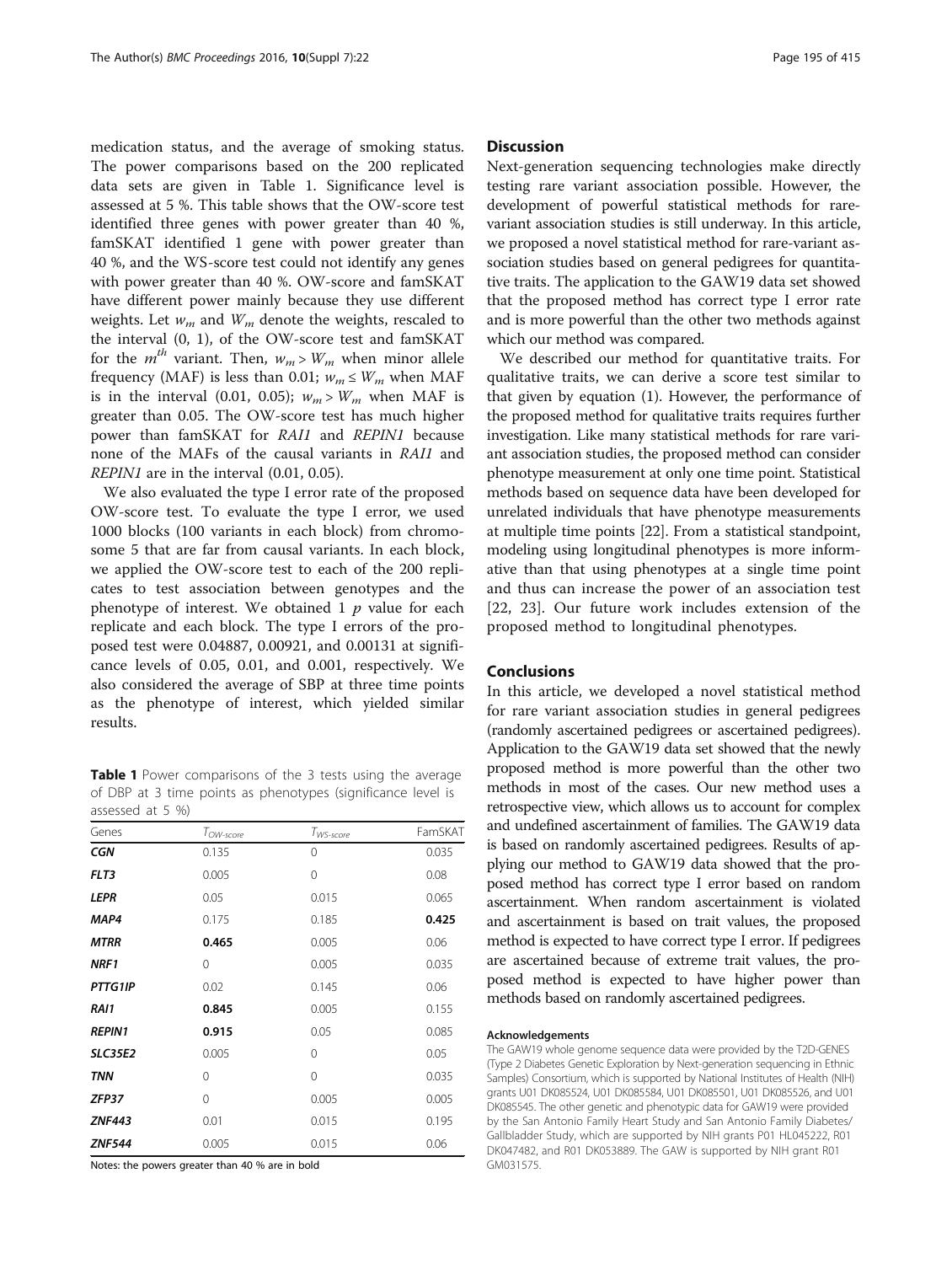medication status, and the average of smoking status. The power comparisons based on the 200 replicated data sets are given in Table 1. Significance level is assessed at 5 %. This table shows that the OW-score test identified three genes with power greater than 40 %, famSKAT identified 1 gene with power greater than 40 %, and the WS-score test could not identify any genes with power greater than 40 %. OW-score and famSKAT have different power mainly because they use different weights. Let  $w_m$  and  $W_m$  denote the weights, rescaled to the interval (0, 1), of the OW-score test and famSKAT for the  $m^{th}$  variant. Then,  $w_m > W_m$  when minor allele frequency (MAF) is less than 0.01;  $w_m \leq W_m$  when MAF is in the interval (0.01, 0.05);  $w_m > W_m$  when MAF is greater than 0.05. The OW-score test has much higher power than famSKAT for RAI1 and REPIN1 because none of the MAFs of the causal variants in RAI1 and REPIN1 are in the interval (0.01, 0.05).

We also evaluated the type I error rate of the proposed OW-score test. To evaluate the type I error, we used 1000 blocks (100 variants in each block) from chromosome 5 that are far from causal variants. In each block, we applied the OW-score test to each of the 200 replicates to test association between genotypes and the phenotype of interest. We obtained  $1$   $p$  value for each replicate and each block. The type I errors of the proposed test were 0.04887, 0.00921, and 0.00131 at significance levels of 0.05, 0.01, and 0.001, respectively. We also considered the average of SBP at three time points as the phenotype of interest, which yielded similar results.

Table 1 Power comparisons of the 3 tests using the average of DBP at 3 time points as phenotypes (significance level is assessed at 5 %)

| Genes          | $T_{OW-score}$ | $T_{WS\text{-}score}$ | FamSKAT |
|----------------|----------------|-----------------------|---------|
| <b>CGN</b>     | 0.135          | 0                     | 0.035   |
| FLT3           | 0.005          | 0                     | 0.08    |
| <b>LEPR</b>    | 0.05           | 0.015                 | 0.065   |
| MAP4           | 0.175          | 0.185                 | 0.425   |
| <b>MTRR</b>    | 0.465          | 0.005                 | 0.06    |
| NRF1           | 0              | 0.005                 | 0.035   |
| PTTG1IP        | 0.02           | 0.145                 | 0.06    |
| RAI1           | 0.845          | 0.005                 | 0.155   |
| <b>REPIN1</b>  | 0.915          | 0.05                  | 0.085   |
| <b>SLC35E2</b> | 0.005          | $\Omega$              | 0.05    |
| <b>TNN</b>     | 0              | 0                     | 0.035   |
| ZFP37          | 0              | 0.005                 | 0.005   |
| <b>ZNF443</b>  | 0.01           | 0.015                 | 0.195   |
| <b>ZNF544</b>  | 0.005          | 0.015                 | 0.06    |

Notes: the powers greater than 40 % are in bold

## **Discussion**

Next-generation sequencing technologies make directly testing rare variant association possible. However, the development of powerful statistical methods for rarevariant association studies is still underway. In this article, we proposed a novel statistical method for rare-variant association studies based on general pedigrees for quantitative traits. The application to the GAW19 data set showed that the proposed method has correct type I error rate and is more powerful than the other two methods against which our method was compared.

We described our method for quantitative traits. For qualitative traits, we can derive a score test similar to that given by equation [\(1](#page-1-0)). However, the performance of the proposed method for qualitative traits requires further investigation. Like many statistical methods for rare variant association studies, the proposed method can consider phenotype measurement at only one time point. Statistical methods based on sequence data have been developed for unrelated individuals that have phenotype measurements at multiple time points [[22](#page-3-0)]. From a statistical standpoint, modeling using longitudinal phenotypes is more informative than that using phenotypes at a single time point and thus can increase the power of an association test [[22, 23\]](#page-3-0). Our future work includes extension of the proposed method to longitudinal phenotypes.

## Conclusions

In this article, we developed a novel statistical method for rare variant association studies in general pedigrees (randomly ascertained pedigrees or ascertained pedigrees). Application to the GAW19 data set showed that the newly proposed method is more powerful than the other two methods in most of the cases. Our new method uses a retrospective view, which allows us to account for complex and undefined ascertainment of families. The GAW19 data is based on randomly ascertained pedigrees. Results of applying our method to GAW19 data showed that the proposed method has correct type I error based on random ascertainment. When random ascertainment is violated and ascertainment is based on trait values, the proposed method is expected to have correct type I error. If pedigrees are ascertained because of extreme trait values, the proposed method is expected to have higher power than methods based on randomly ascertained pedigrees.

#### Acknowledgements

The GAW19 whole genome sequence data were provided by the T2D-GENES (Type 2 Diabetes Genetic Exploration by Next-generation sequencing in Ethnic Samples) Consortium, which is supported by National Institutes of Health (NIH) grants U01 DK085524, U01 DK085584, U01 DK085501, U01 DK085526, and U01 DK085545. The other genetic and phenotypic data for GAW19 were provided by the San Antonio Family Heart Study and San Antonio Family Diabetes/ Gallbladder Study, which are supported by NIH grants P01 HL045222, R01 DK047482, and R01 DK053889. The GAW is supported by NIH grant R01 GM031575.